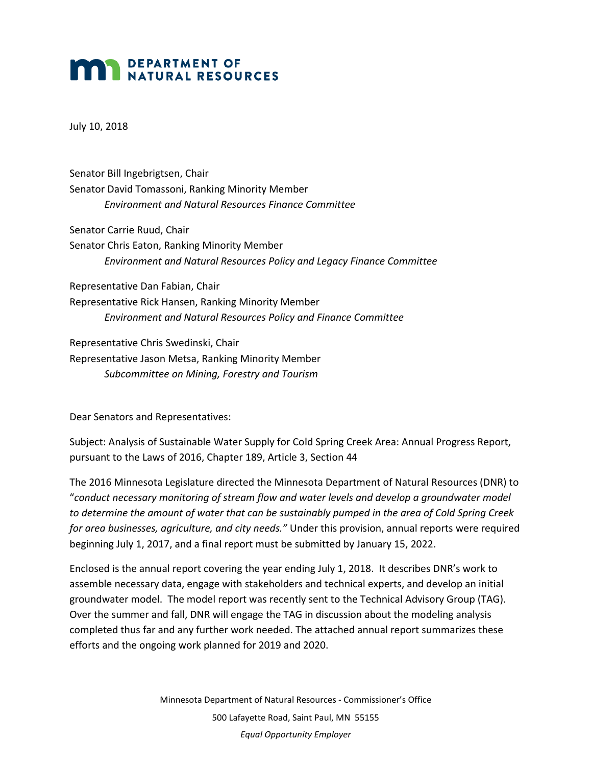## **MAN DEPARTMENT OF NATURAL RESOURCES**

July 10, 2018

Senator Bill Ingebrigtsen, Chair Senator David Tomassoni, Ranking Minority Member *Environment and Natural Resources Finance Committee* 

Senator Carrie Ruud, Chair Senator Chris Eaton, Ranking Minority Member *Environment and Natural Resources Policy and Legacy Finance Committee* 

Representative Dan Fabian, Chair Representative Rick Hansen, Ranking Minority Member *Environment and Natural Resources Policy and Finance Committee*

Representative Chris Swedinski, Chair Representative Jason Metsa, Ranking Minority Member *Subcommittee on Mining, Forestry and Tourism*

Dear Senators and Representatives:

Subject: Analysis of Sustainable Water Supply for Cold Spring Creek Area: Annual Progress Report, pursuant to the Laws of 2016, Chapter 189, Article 3, Section 44

The 2016 Minnesota Legislature directed the Minnesota Department of Natural Resources (DNR) to "*conduct necessary monitoring of stream flow and water levels and develop a groundwater model to determine the amount of water that can be sustainably pumped in the area of Cold Spring Creek for area businesses, agriculture, and city needs."* Under this provision, annual reports were required beginning July 1, 2017, and a final report must be submitted by January 15, 2022.

Enclosed is the annual report covering the year ending July 1, 2018. It describes DNR's work to assemble necessary data, engage with stakeholders and technical experts, and develop an initial groundwater model. The model report was recently sent to the Technical Advisory Group (TAG). Over the summer and fall, DNR will engage the TAG in discussion about the modeling analysis completed thus far and any further work needed. The attached annual report summarizes these efforts and the ongoing work planned for 2019 and 2020.